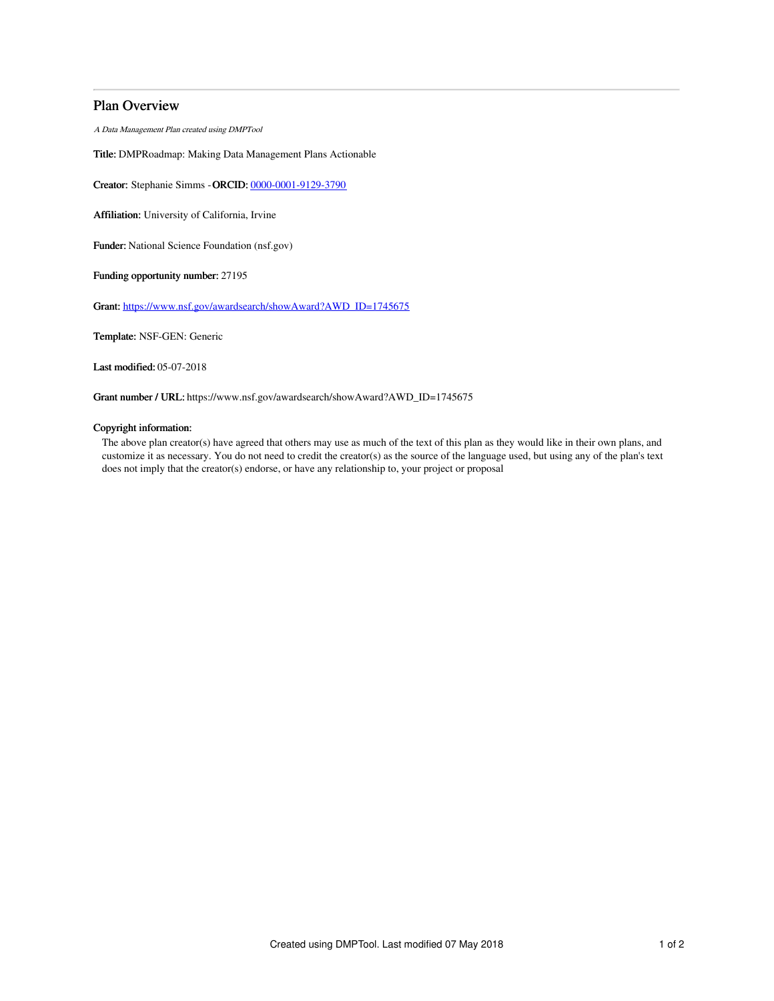# Plan Overview

A Data Management Plan created using DMPTool

Title: DMPRoadmap: Making Data Management Plans Actionable

Creator: Stephanie Simms -ORCID: [0000-0001-9129-3790](https://orcid.org/0000-0001-9129-3790)

Affiliation: University of California, Irvine

Funder: National Science Foundation (nsf.gov)

Funding opportunity number: 27195

Grant: [https://www.nsf.gov/awardsearch/showAward?AWD\\_ID=1745675](https://www.nsf.gov/awardsearch/showAward?AWD_ID=1745675)

Template: NSF-GEN: Generic

Last modified: 05-07-2018

Grant number / URL: https://www.nsf.gov/awardsearch/showAward?AWD\_ID=1745675

# Copyright information:

The above plan creator(s) have agreed that others may use as much of the text of this plan as they would like in their own plans, and customize it as necessary. You do not need to credit the creator(s) as the source of the language used, but using any of the plan's text does not imply that the creator(s) endorse, or have any relationship to, your project or proposal